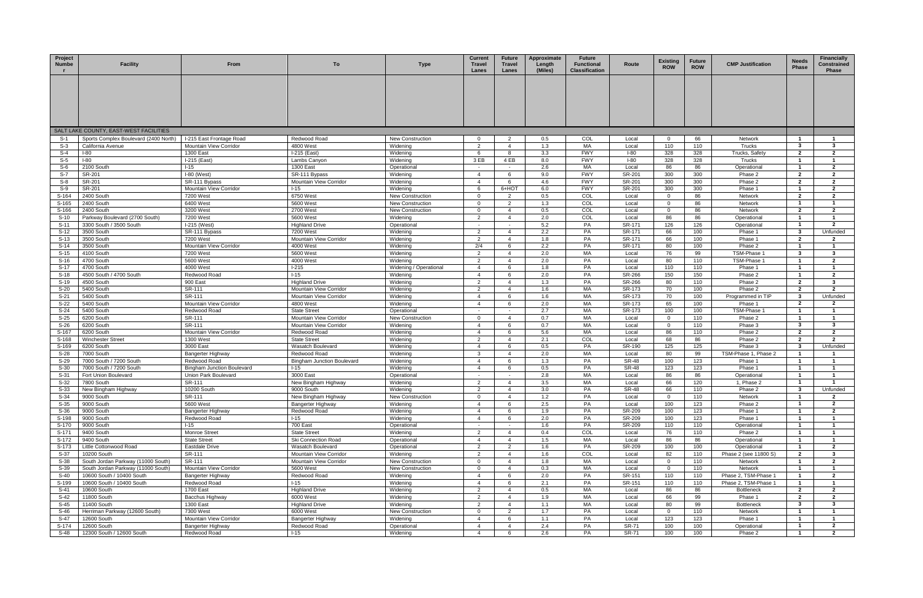| Project<br><b>Numbe</b> | <b>Facility</b>                        | From                              | To                                 | <b>Type</b>                        | <b>Current</b><br><b>Travel</b><br>Lanes | <b>Future</b><br>Travel<br>Lanes                   | Approximate<br>Length<br>(Miles) | <b>Future</b><br><b>Functional</b><br><b>Classification</b> | Route                 | <b>Existing</b><br><b>ROW</b> | <b>Future</b><br><b>ROW</b> | <b>CMP Justification</b>     | <b>Needs</b><br>Phase   | Financially<br>Constrained<br><b>Phase</b> |
|-------------------------|----------------------------------------|-----------------------------------|------------------------------------|------------------------------------|------------------------------------------|----------------------------------------------------|----------------------------------|-------------------------------------------------------------|-----------------------|-------------------------------|-----------------------------|------------------------------|-------------------------|--------------------------------------------|
|                         |                                        |                                   |                                    |                                    |                                          |                                                    |                                  |                                                             |                       |                               |                             |                              |                         |                                            |
|                         |                                        |                                   |                                    |                                    |                                          |                                                    |                                  |                                                             |                       |                               |                             |                              |                         |                                            |
|                         |                                        |                                   |                                    |                                    |                                          |                                                    |                                  |                                                             |                       |                               |                             |                              |                         |                                            |
|                         |                                        |                                   |                                    |                                    |                                          |                                                    |                                  |                                                             |                       |                               |                             |                              |                         |                                            |
|                         | SALT LAKE COUNTY, EAST-WEST FACILITIES |                                   |                                    |                                    |                                          |                                                    |                                  |                                                             |                       |                               |                             |                              |                         |                                            |
| S-1                     | Sports Complex Boulevard (2400 North)  | I-215 East Frontage Road          | Redwood Road                       | <b>New Construction</b>            | $\overline{0}$                           | 2                                                  | 0.5                              | COL                                                         | Local                 | $\overline{0}$                | 66                          | Network                      | $\overline{1}$          | - 1                                        |
| S-3                     | California Avenue                      | Mountain View Corridor            | 4800 West                          | Widening                           | $\overline{2}$                           | $\overline{4}$                                     | 1.3                              | MA                                                          | Local                 | 110                           | 110                         | Trucks                       | 3                       | $\mathbf{3}$                               |
| S-4<br>S-5              | $I-80$<br>$I-80$                       | 1300 East<br>I-215 (East)         | I-215 (East)                       | Widening<br>Widening               | 6<br>3 EB                                | 8<br>4 EB                                          | 3.3<br>8.0                       | <b>FWY</b><br><b>FWY</b>                                    | $I-80$<br>$I-80$      | 328<br>328                    | 328<br>328                  | Trucks, Safety<br>Trucks     | $\mathbf{2}$            | $\mathbf{2}$                               |
| $S-6$                   | 2100 South                             | $I-15$                            | Lambs Canyon<br>1300 East          | Operational                        | $\sim$                                   | $\sim$                                             | 2.6                              | МA                                                          | Local                 | 86                            | 86                          | Operational                  | $\mathbf{1}$            | $\overline{2}$                             |
| S-7                     | SR-201                                 | $I-80$ (West)                     | SR-111 Bypass                      | Widening                           | $\overline{4}$                           | 6                                                  | 9.0                              | <b>FWY</b>                                                  | SR-201                | 300                           | 300                         | Phase 2                      | $\overline{2}$          | $\overline{2}$                             |
| $S-8$                   | SR-201                                 | SR-111 Bypass                     | Mountain View Corridor             | Widening                           | $\overline{4}$                           | 6                                                  | 4.6                              | <b>FWY</b>                                                  | SR-201                | 300                           | 300                         | Phase 2                      | $\overline{2}$          | $\overline{2}$                             |
| S-9                     | SR-201                                 | Mountain View Corridor            | $1 - 15$                           | Widening                           | 6                                        | 6+HOT                                              | 6.0                              | <b>FWY</b>                                                  | SR-201                | 300                           | 300                         | Phase 1                      | $\mathbf{1}$            | $\overline{2}$                             |
| S-164                   | 2400 South                             | 7200 West                         | 6750 West                          | <b>New Construction</b>            | $\overline{0}$                           | $\overline{2}$                                     | 0.5                              | COL                                                         | Local                 | $\Omega$                      | 86                          | Network                      | $\mathbf{2}$            | $\overline{2}$                             |
| S-165                   | 2400 South                             | 6400 West                         | 5600 West                          | <b>New Construction</b>            | $\mathbf 0$                              | $\overline{2}$                                     | 1.3                              | COL                                                         | Local                 | $\Omega$                      | 86                          | Network                      |                         |                                            |
| S-166                   | 2400 South                             | 3200 West                         | 2700 West                          | <b>New Construction</b>            | $\overline{0}$                           | $\overline{4}$                                     | 0.5                              | COL                                                         | Local                 | $\overline{0}$                | 86                          | Network                      | $\overline{2}$          | $\overline{2}$                             |
| $S-10$                  | Parkway Boulevard (2700 South)         | 7200 West                         | 5600 West                          | Widening                           | 2                                        | $\overline{4}$                                     | 2.0                              | COL                                                         | Local                 | 86                            | 86                          | Operational                  | $\mathbf{1}$            | $\overline{1}$                             |
| $S-11$                  | 3300 South / 3500 South                | $I-215$ (West)                    | <b>Highland Drive</b>              | Operational                        | $\sim$                                   |                                                    | 5.2                              | PA                                                          | SR-171                | 126                           | 126                         | Operational                  | $\overline{1}$          | $\overline{2}$                             |
| $S-12$                  | 3500 South                             | SR-111 Bypass                     | 7200 West                          | Widening                           | 2                                        | $\overline{4}$                                     | 2.2                              | PA                                                          | SR-171                | 66                            | 100                         | Phase 1                      | 3                       | Unfunded                                   |
| $S-13$                  | 3500 South                             | 7200 West                         | Mountain View Corridor             | Widening                           | $\overline{2}$                           | $\overline{4}$                                     | 1.8                              | PA                                                          | SR-171                | 66                            | 100                         | Phase 1                      | $\overline{2}$          | $\overline{\mathbf{2}}$                    |
| $S-14$                  | 3500 South                             | Mountain View Corridor            | 4000 West                          | Widening                           | 2/4                                      | 6                                                  | 2.2                              | PA                                                          | SR-171                | 80                            | 100                         | Phase 2                      |                         |                                            |
| $S-15$                  | 4100 South<br>4700 South               | 7200 West                         | 5600 West<br>4000 West             | Widening                           | $\overline{2}$<br>2                      | $\overline{4}$<br>$\overline{4}$                   | 2.0<br>2.0                       | МA<br>PA                                                    | Local<br>Local        | 76<br>80                      | 99<br>110                   | TSM-Phase<br>TSM-Phase 1     | 3<br>$\mathbf 1$        | -3<br>$\overline{2}$                       |
| $S-16$<br>$S-17$        | 4700 South                             | 5600 West<br>4000 West            | $1-215$                            | Widening<br>Widening / Operational | $\overline{4}$                           | 6                                                  | 1.8                              | PA                                                          | Local                 | 110                           | 110                         | Phase 1                      | $\mathbf{1}$            | $\overline{1}$                             |
| $S-18$                  | 4500 South / 4700 South                | Redwood Road                      | $1 - 15$                           | Widening                           | $\overline{4}$                           | -6                                                 | 2.0                              | PA                                                          | SR-266                | 150                           | 150                         | Phase 2                      | $\mathbf{1}$            | $\overline{2}$                             |
| $S-19$                  | 4500 South                             | 900 East                          | <b>Highland Drive</b>              | Widening                           | $\overline{2}$                           | $\overline{4}$                                     | 1.3                              | PA                                                          | SR-266                | 80                            | 110                         | Phase 2                      | $\overline{2}$          | -3                                         |
| $S-20$                  | 5400 South                             | SR-111                            | Mountain View Corridor             | Widening                           | $\overline{2}$                           | $\overline{4}$                                     | 1.6                              | MA                                                          | SR-173                | 70                            | 100                         | Phase 2                      | $\mathbf{2}$            | $\overline{2}$                             |
| $S-21$                  | 5400 South                             | SR-111                            | Mountain View Corridor             | Widening                           | $\overline{4}$                           | 6                                                  | 1.6                              | МA                                                          | SR-173                | 70                            | 100                         | Programmed in TIP            | 3                       | Unfunded                                   |
| $S-22$                  | 5400 South                             | Mountain View Corridor            | 4800 West                          | Widening                           | $\overline{4}$                           | 6                                                  | 2.0                              | МA                                                          | SR-173                | 65                            | 100                         | Phase 1                      | $\overline{2}$          | $\mathbf{2}$                               |
| $S-24$                  | 5400 South                             | Redwood Road                      | <b>State Street</b>                | Operational                        | $\sim$                                   | $\sim$                                             | 2.7                              | МA                                                          | SR-173                | 100                           | 100                         | TSM-Phase 1                  | $\overline{1}$          | $\overline{1}$                             |
| $S-25$                  | 6200 South                             | SR-111                            | Mountain View Corridor             | <b>New Construction</b>            | $\overline{0}$                           | $\overline{4}$                                     | 0.7                              | МA                                                          | Local                 | $\Omega$                      | 110                         | Phase 2                      | $\overline{1}$          | $\overline{1}$                             |
| $S-26$                  | 6200 South                             | SR-111                            | Mountain View Corridor             | Widening                           | $\overline{4}$                           | 6                                                  | 0.7                              | MA                                                          | Local                 | $\Omega$                      | 110                         | Phase 3                      | $\mathbf{3}$            | -3                                         |
| S-167                   | 6200 South                             | Mountain View Corridor            | Redwood Road                       | Widening                           | $\overline{4}$                           | 6                                                  | 5.6                              | МA                                                          | Local                 | 86                            | 110                         | Phase 2                      | $\overline{2}$          | $\overline{2}$                             |
| S-168                   | <b>Winchester Street</b>               | 1300 West                         | <b>State Street</b>                | Widening                           | $\overline{2}$                           | $\overline{4}$                                     | 2.1                              | COL                                                         | Local                 | 68                            | 86                          | Phase 2                      | $\overline{2}$          | $\overline{2}$                             |
| S-169                   | 6200 South                             | 3000 East                         | Wasatch Boulevard                  | Widening                           | $\overline{4}$                           | 6                                                  | 0.5                              | PA                                                          | SR-190                | 125                           | 125                         | Phase 3                      | $\mathbf{3}$            | Unfunded                                   |
| $S-28$                  | 7000 South                             | Bangerter Highway                 | Redwood Road                       | Widening                           | $\mathbf{3}$                             | $\overline{4}$                                     | 2.0                              | МA                                                          | Local                 | 80                            | 99                          | TSM-Phase 1, Phase 2         | $\overline{1}$          | $\overline{1}$                             |
| $S-29$                  | 7000 South / 7200 South                | Redwood Road                      | <b>Bingham Junction Boulevard</b>  | Widening                           | $\overline{4}$                           | 6                                                  | 1.3                              | PA                                                          | <b>SR-48</b>          | 100                           | 123                         | Phase 1                      | $\mathbf{1}$            | $\overline{\mathbf{1}}$                    |
| $S-30$                  | 7000 South / 7200 South                | <b>Bingham Junction Boulevard</b> | $I-15$                             | Widening                           | $\overline{a}$                           | 6                                                  | 0.5                              | PA                                                          | <b>SR-48</b>          | 123                           | 123                         | Phase 1                      | $\mathbf 1$             | - 1                                        |
| $S-31$<br>$S-32$        | Fort Union Boulevard                   | Union Park Boulevard              | 3000 East                          | Operational                        | $\sim$<br>$\overline{2}$                 | $\overline{4}$                                     | 2.8<br>3.5                       | MA<br>MA                                                    | Local                 | 86                            | 86<br>120                   | Operational                  | -1                      |                                            |
| S-33                    | 7800 South<br>New Bingham Highway      | SR-111<br>10200 South             | New Bingham Highway<br>9000 South  | Widening<br>Widening               | $\overline{2}$                           |                                                    | 3.0                              | PA                                                          | Local<br><b>SR-48</b> | 66<br>66                      | 110                         | 1, Phase 2<br>Phase 2        | 3                       | $\overline{1}$<br>Unfunded                 |
| $S-34$                  | 9000 South                             | SR-111                            | New Bingham Highway                | <b>New Construction</b>            | $\overline{0}$                           | $\overline{4}$                                     | 1.2                              | PA                                                          | Local                 | $\overline{0}$                | 110                         | Network                      | $\overline{1}$          | $\mathbf{2}$                               |
| $S-35$                  | 9000 South                             | 5600 West                         | <b>Bangerter Highway</b>           | Widening                           | $\overline{4}$                           | 6                                                  | 2.5                              | PA                                                          | Local                 | 100                           | 123                         | Phase 2                      | $\mathbf{1}$            | $\overline{2}$                             |
| $S-36$                  | 9000 South                             | Bangerter Highway                 | Redwood Road                       | Widening                           | $\overline{a}$                           | 6                                                  | 1.9                              | PA                                                          | SR-209                | 100                           | 123                         | Phase 1                      | $\overline{\mathbf{1}}$ | $\mathbf{2}$                               |
| S-198                   | 9000 South                             | Redwood Road                      | $I-15$                             | Widening                           | $\overline{a}$                           | 6                                                  | 2.0                              | PA                                                          | SR-209                | 100                           | 123                         | Phase 1                      |                         |                                            |
| S-170                   | 9000 South                             | $I-15$                            | 700 East                           | Operational                        | $\sim$                                   | $\sim$                                             | 1.6                              | PA                                                          | SR-209                | 110                           | 110                         | Operational                  | $\mathbf{1}$            | $\blacksquare$                             |
| S-171                   | 9400 South                             | Monroe Street                     | <b>State Street</b>                | Widening                           | 2                                        | $\overline{4}$                                     | 0.4                              | COL                                                         | Local                 | 76                            | 110                         | Phase 2                      | $\overline{1}$          | $\overline{1}$                             |
| S-172                   | 9400 South                             | <b>State Street</b>               | Ski Connection Road                | Operational                        | $\overline{4}$                           | $\overline{4}$                                     | 1.5                              | МA                                                          | Local                 | 86                            | 86                          | Operational                  | $\overline{1}$          | $\overline{1}$                             |
| S-173                   | Little Cottonwood Road                 | Eastdale Drive                    | Wasatch Boulevard                  | Operational                        | $\overline{2}$                           | 2                                                  | 1.6                              | PA                                                          | SR-209                | 100                           | 100                         | Operational                  | $\mathbf{1}$            | $\overline{2}$                             |
| $S-37$                  | 10200 South                            | SR-111                            | Mountain View Corridor             | Widening                           | $\overline{2}$                           | $\overline{4}$                                     | 1.6                              | COL                                                         | Local                 | 82                            | 110                         | Phase 2 (see 11800 S)        | $\overline{2}$          | $\mathbf{3}$                               |
| $S-38$                  | South Jordan Parkway (11000 South)     | SR-111                            | Mountain View Corridor             | <b>New Construction</b>            | $\mathbf 0$                              | $\overline{4}$                                     | 1.8                              | МA                                                          | Local                 | $\Omega$                      | 110                         | Network                      |                         | $\overline{2}$                             |
| $S-39$                  | South Jordan Parkway (11000 South)     | Mountain View Corridor            | 5600 West                          | New Construction                   | $\overline{0}$                           | $\overline{4}$                                     | 0.3                              | МA                                                          | Local                 | $\overline{0}$                | 110                         | Network                      | $\overline{1}$          | $\overline{1}$                             |
| $S-40$                  | 10600 South / 10400 South              | Bangerter Highway                 | Redwood Road                       | Widening                           | $\overline{4}$                           | 6                                                  | 2.0                              | PA                                                          | SR-151                | 110                           | 110                         | Phase 2. TSM-Phase 1         | $\mathbf{1}$            | $\overline{2}$                             |
| S-199                   | 10600 South / 10400 South              | Redwood Road                      | $I-15$                             | Widening                           | $\overline{4}$                           | 6                                                  | 2.1                              | PA                                                          | SR-151                | 110                           | 110                         | Phase 2, TSM-Phase 1         | $\overline{1}$          | $\overline{1}$                             |
| $S-41$                  | 10600 South                            | 1700 East                         | <b>Highland Drive</b>              | Widening                           | 2                                        | $\overline{4}$                                     | 0.5                              | MA                                                          | Local                 | 86                            | 86                          | <b>Bottleneck</b>            | $\mathbf{2}$            | $\overline{2}$                             |
| $S-42$<br>$S-45$        | 11800 South<br>11400 South             | Bacchus Highway<br>1300 East      | 6000 West<br><b>Highland Drive</b> | Widening<br>Widening               | $\overline{2}$<br>$\overline{2}$         | $\overline{\mathbf{4}}$<br>$\overline{\mathbf{4}}$ | 1.9<br>1.1                       | МA<br>МA                                                    | Local<br>Local        | 66<br>80                      | 99<br>99                    | Phase 1<br><b>Bottleneck</b> | $\overline{2}$<br>3     | $\mathbf{2}$<br>$\mathbf{3}$               |
| $S-46$                  | Herriman Parkway (12600 South)         | 7300 West                         | 6000 West                          | New Construction                   | $\overline{0}$                           | 2                                                  | 1.7                              | PA                                                          | Local                 | $\overline{0}$                | 110                         | Network                      | $\overline{1}$          | $\overline{1}$                             |
| S-47                    | 12600 South                            | Mountain View Corridor            | Bangerter Highway                  | Widening                           | $\overline{4}$                           | 6                                                  | 1.1                              | PA                                                          | Local                 | 123                           | 123                         | Phase 1                      | $\mathbf 1$             | $\overline{\mathbf{1}}$                    |
| S-174                   | 12600 South                            | Bangerter Highway                 | Redwood Road                       | Operational                        | $\overline{4}$                           | $\overline{4}$                                     | 2.4                              | PA                                                          | <b>SR-71</b>          | 100                           | 100                         | Operational                  | $\overline{1}$          | $\overline{2}$                             |
| S-48                    | 12300 South / 12600 South              | Redwood Road                      | $1 - 15$                           | Widening                           | $\overline{4}$                           | 6                                                  | 2.6                              | PA                                                          | <b>SR-71</b>          | 100                           | 100                         | Phase 2                      | $\overline{1}$          | $\overline{2}$                             |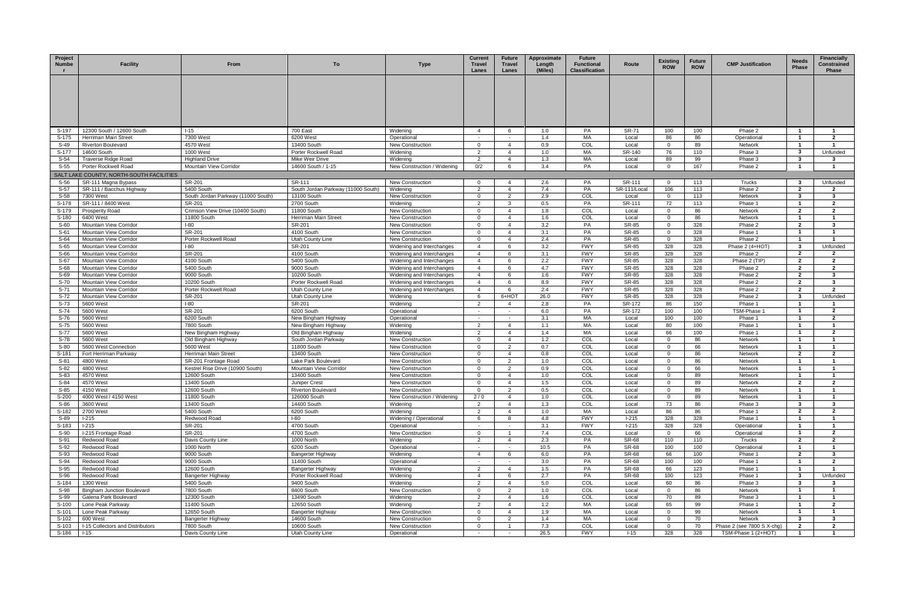| Project<br><b>Numbe</b> | <b>Facility</b>                            | From                                                     | To                                            | <b>Type</b>                                        | <b>Current</b><br><b>Travel</b><br>Lanes | <b>Future</b><br><b>Travel</b><br>Lanes | Approximate<br>Length<br>(Miles) | <b>Future</b><br><b>Functional</b><br><b>Classification</b> | Route          | <b>Existing</b><br><b>ROW</b> | <b>Future</b><br><b>ROW</b> | <b>CMP Justification</b>   | <b>Needs</b><br><b>Phase</b> | <b>Financially</b><br>Constrained<br><b>Phase</b> |
|-------------------------|--------------------------------------------|----------------------------------------------------------|-----------------------------------------------|----------------------------------------------------|------------------------------------------|-----------------------------------------|----------------------------------|-------------------------------------------------------------|----------------|-------------------------------|-----------------------------|----------------------------|------------------------------|---------------------------------------------------|
|                         |                                            |                                                          |                                               |                                                    |                                          |                                         |                                  |                                                             |                |                               |                             |                            |                              |                                                   |
| S-197                   | 12300 South / 12600 South                  | $1 - 15$                                                 | 700 East                                      | Widening                                           | $\overline{4}$                           | -6                                      | 1.0                              | PA                                                          | <b>SR-71</b>   | 100                           | 100                         | Phase 2                    | $\mathbf{1}$                 | - 1                                               |
| S-175                   | Herriman Main Street                       | 7300 West                                                | 6200 West                                     | Operational                                        | $\sim$                                   | $\sim$                                  | 1.4                              | MA                                                          | Local          | 86                            | 86                          | Operational                | $\overline{1}$               | $\overline{2}$                                    |
| S-49                    | Riverton Boulevard                         | 4570 West                                                | 13400 South                                   | New Construction                                   | $\overline{0}$                           | $\overline{4}$                          | 0.9                              | COL                                                         | Local          | $\Omega$                      | 89                          | Network                    | $\mathbf{1}$                 | $\mathbf{1}$                                      |
| S-177                   | 14600 South                                | 1000 West                                                | Porter Rockwell Road                          | Widening                                           | 2                                        |                                         | 1.0                              | MA                                                          | SR-140         | 76                            | 110                         | Phase 3                    | 3                            | Unfunded                                          |
| $S-54$                  | <b>Traverse Ridge Road</b>                 | <b>Highland Drive</b>                                    | Mike Weir Drive                               | Widening                                           | 2                                        | $\overline{4}$                          | 1.3                              | МA                                                          | Local          | 89                            | 99                          | Phase 3                    | 3                            | -3                                                |
| $S-55$                  | Porter Rockwell Road                       | Mountain View Corridor                                   | 14600 South / 1-15                            | New Construction / Widening                        | 0/2                                      |                                         | 3.4                              | PA                                                          | Local          | $\Omega$                      | 167                         | Phase 2                    | -1                           |                                                   |
|                         | SALT LAKE COUNTY, NORTH-SOUTH FACILITIES   |                                                          |                                               |                                                    |                                          |                                         |                                  |                                                             |                |                               |                             |                            |                              |                                                   |
| S-56                    | SR-111 Magna Bypass                        | SR-201                                                   | SR-111                                        | New Construction                                   | $\overline{0}$                           | $\overline{4}$                          | 2.6                              | PA                                                          | SR-111         | $\overline{0}$                | 113                         | Trucks                     | 3                            | Unfunded                                          |
| S-57                    | SR-111 / Bacchus Highway                   | 5400 South                                               | South Jordan Parkway (11000 South)            | Widening                                           | 2                                        | $\overline{4}$                          | 7.4                              | PA                                                          | SR-111/Local   | 106                           | 113                         | Phase 2                    | $\mathbf{2}$                 | $\mathbf{2}$                                      |
| $S-58$                  | 7300 West                                  | South Jordan Parkway (11000 South)                       | 13100 South                                   | <b>New Construction</b>                            | $\overline{0}$                           | 2                                       | 2.9                              | COL                                                         | Local          | $\mathbf 0$                   | 113                         | Network                    | 3                            | $\mathbf{3}$                                      |
| S-178                   | SR-111 / 8400 West                         | SR-201                                                   | 2700 South                                    | Widening                                           | $\overline{2}$<br>$\Omega$               | 3<br>$\overline{4}$                     | 0.5                              | PA                                                          | SR-111         | 72                            | 113                         | Phase 1                    | $\mathbf{1}$                 | $\overline{2}$                                    |
| S-179<br>S-180          | <b>Prosperity Road</b><br>6400 West        | Crimson View Drive (10400 South)<br>11800 South          | 11800 South<br>Herriman Main Street           | <b>New Construction</b><br><b>New Construction</b> | 0                                        |                                         | 1.8<br>1.6                       | COL<br>COL                                                  | Local<br>Local | $\Omega$<br>$\mathbf 0$       | 86<br>86                    | Network<br>Network         | $\overline{2}$               | $\overline{2}$                                    |
| $S-60$                  | Mountain View Corridor                     | $I-80$                                                   | SR-201                                        | <b>New Construction</b>                            | $\mathbf{0}$                             | $\overline{4}$                          | 3.2                              | PA                                                          | SR-85          | $\overline{0}$                | 328                         | Phase 2                    | $\mathbf{2}$                 | - 3                                               |
| $S-61$                  | Mountain View Corridor                     | SR-201                                                   | 4100 South                                    | <b>New Construction</b>                            | $\overline{0}$                           | $\overline{4}$                          | 3.1                              | PA                                                          | <b>SR-85</b>   | $\mathbf 0$                   | 328                         | Phase 1                    | $\overline{1}$               | $\overline{1}$                                    |
| S-64                    | <b>Mountain View Corridor</b>              | Porter Rockwell Road                                     | Utah County Line                              | <b>New Construction</b>                            | $\mathbf{0}$                             | $\mathbf 4$                             | 2.4                              | PA                                                          | SR-85          | $\overline{0}$                | 328                         | Phase 2                    | -1                           | $\blacksquare$                                    |
| $S-65$                  | Mountain View Corridor                     | <b>I-80</b>                                              | SR-201                                        | Widening and Interchanges                          | $\overline{4}$                           | -6                                      | 3.2                              | <b>FWY</b>                                                  | SR-85          | 328                           | 328                         | Phase 2 (4+HOT)            | 3                            | Unfunded                                          |
| S-66                    | Mountain View Corridor                     | SR-201                                                   | 4100 South                                    | Widening and Interchanges                          | $\overline{4}$                           |                                         | 3.1                              | <b>FWY</b>                                                  | <b>SR-85</b>   | 328                           | 328                         | Phase 2                    | $\mathbf{2}$                 | $\overline{2}$                                    |
| $S-67$                  | Mountain View Corridor                     | 4100 South                                               | 5400 South                                    | Widening and Interchanges                          | $\overline{4}$                           |                                         | 2.2                              | <b>FWY</b>                                                  | SR-85          | 328                           | 328                         | Phase 2 (TIP)              | $\mathbf{2}$                 | $\overline{2}$                                    |
| S-68                    | Mountain View Corridor                     | 5400 South                                               | 9000 South                                    | Widening and Interchanges                          | $\overline{4}$                           | -6                                      | 4.7                              | <b>FWY</b>                                                  | SR-85          | 328                           | 328                         | Phase 2                    | $\mathbf{2}$                 | $\overline{2}$                                    |
| S-69                    | Mountain View Corridor                     | 9000 South                                               | 10200 South                                   | Widening and Interchanges                          | $\overline{4}$                           | -6                                      | 1.6                              | <b>FWY</b>                                                  | SR-85          | 328                           | 328                         | Phase 2                    | $\mathbf{2}$                 | $\mathbf{3}$                                      |
| S-70                    | Mountain View Corridor                     | 10200 South                                              | Porter Rockwell Road                          | Widening and Interchanges                          | $\overline{4}$                           | -6                                      | 8.9                              | <b>FWY</b>                                                  | SR-85          | 328                           | 328                         | Phase 2                    | $\mathbf{2}$                 | $\mathbf{3}$                                      |
| $S-71$                  | Mountain View Corridor                     | Porter Rockwell Road                                     | Utah County Line                              | Widening and Interchanges                          | $\overline{4}$                           | -6                                      | 2.4                              | <b>FWY</b>                                                  | SR-85          | 328                           | 328                         | Phase 2                    | $\mathbf{2}$                 | $\overline{2}$                                    |
| $S-72$                  | Mountain View Corridor                     | SR-201                                                   | Utah County Line                              | Widening                                           | -6                                       | 6+HOT                                   | 26.0                             | <b>FWY</b>                                                  | <b>SR-85</b>   | 328                           | 328                         | Phase 2                    | 3                            | Unfunded                                          |
| $S-73$                  | 5600 West                                  | $I-80$                                                   | SR-201                                        | Widening                                           | $\overline{2}$                           | 4                                       | 2.8                              | PA                                                          | SR-172         | 86                            | 150                         | Phase                      |                              |                                                   |
| S-74                    | 5600 West                                  | SR-201                                                   | 6200 South                                    | Operational                                        | $\sim$                                   | $\sim$                                  | 6.0                              | PA                                                          | SR-172         | 100                           | 100                         | TSM-Phase 1                | -1                           | $\overline{2}$                                    |
| S-76                    | 5600 West                                  | 6200 South                                               | New Bingham Highway                           | Operational                                        | $\sim$                                   | $\sim$                                  | 3.1                              | MA                                                          | Local          | 100                           | 100                         | Phase 1                    | -1                           | $\overline{2}$                                    |
| S-75                    | 5600 West                                  | 7800 South                                               | New Bingham Highway                           | Widening                                           | $\overline{2}$                           | $\mathbf{A}$                            | 1.1                              | МA                                                          | Local          | 80                            | 100                         | Phase 1                    | -1                           | $\overline{1}$                                    |
| S-77                    | 5600 West                                  | New Bingham Highway                                      | Old Bingham Highway                           | Widening                                           | 2                                        | $\overline{4}$                          | 1.4                              | MA                                                          | Local          | 66                            | 100                         | Phase 1                    | $\overline{1}$               | $\overline{2}$                                    |
| S-78                    | 5600 West                                  | Old Bingham Highway                                      | South Jordan Parkway                          | <b>New Construction</b>                            | $\Omega$                                 | $\overline{4}$                          | 1.2                              | COL                                                         | Local          | $\Omega$                      | 86                          | Network                    | -1                           |                                                   |
| $S-80$                  | 5600 West Connection                       | 5600 West                                                | 11800 South                                   | <b>New Construction</b>                            | $\Omega$                                 | $\mathcal{P}$                           | 0.7                              | COL                                                         | Local          | $\mathbf 0$                   | 66                          | Network                    |                              |                                                   |
| S-181<br>$S-81$         | Fort Herriman Parkway                      | Herriman Main Street                                     | 13400 South                                   | <b>New Construction</b>                            | $\overline{0}$<br>$\Omega$               | $\overline{4}$<br>2                     | 0.8<br>1.0                       | COL<br>COL                                                  | Local          | $\mathbf 0$<br>$\mathbf 0$    | 86<br>86                    | Network                    | $\mathbf{2}$<br>-1           | $\overline{2}$<br>$\mathbf{1}$                    |
| $S-82$                  | 4800 West<br>4800 West                     | SR-201 Frontage Road<br>Kestrel Rise Drive (10900 South) | Lake Park Boulevard<br>Mountain View Corridor | <b>New Construction</b><br><b>New Construction</b> | $\overline{0}$                           | 2                                       | 0.9                              | COL                                                         | Local<br>Local | - 0                           | 66                          | Network<br>Network         | $\overline{1}$               | $\overline{1}$                                    |
| $S-83$                  | 4570 West                                  | 12600 South                                              | 13400 South                                   | <b>New Construction</b>                            | $\overline{0}$                           | $\overline{4}$                          | 1.0                              | COL                                                         | Local          | $\Omega$                      | 89                          | Network                    | -1                           | $\mathbf{1}$                                      |
| $S-84$                  | 4570 West                                  | 13400 South                                              | Juniper Crest                                 | <b>New Construction</b>                            | $\Omega$                                 |                                         | 1.5                              | COL                                                         | Local          | $\Omega$                      | 89                          | Network                    | $\overline{2}$               | $\overline{2}$                                    |
| $S-85$                  | 4150 West                                  | 12600 South                                              | <b>Riverton Boulevard</b>                     | <b>New Construction</b>                            |                                          |                                         | 0.5                              | COL                                                         | Local          | $\Omega$                      | 89                          | Network                    |                              |                                                   |
| S-200                   | 4000 West / 4150 West                      | 11800 South                                              | 126000 South                                  | New Construction / Widening                        | 2/0                                      | $\overline{4}$                          | 1.0                              | COL                                                         | Local          | $\overline{0}$                | 89                          | Network                    | $\overline{\mathbf{1}}$      |                                                   |
| S-86                    | 3600 West                                  | 13400 South                                              | 14400 South                                   | Widening                                           | 2                                        | $\overline{4}$                          | 1.3                              | COL                                                         | Local          | 73                            | 86                          | Phase 3                    | $\mathbf{3}$                 | $\mathbf{3}$                                      |
| S-182                   | 2700 West                                  | 5400 South                                               | 6200 South                                    | Widening                                           | $\overline{2}$                           | $\mathbf 4$                             | 1.0                              | МA                                                          | Local          | 86                            | 86                          | Phase 1                    | $\mathbf{2}$                 | $\overline{2}$                                    |
| S-89                    | $1-215$                                    | Redwood Road                                             | $I-80$                                        | Widening / Operational                             | 6                                        | 8                                       | 4.8                              | <b>FWY</b>                                                  | $1-215$        | 328                           | 328                         | Phase 1                    | $\overline{1}$               | $\overline{1}$                                    |
| S-183                   | $1-215$                                    | SR-201                                                   | 4700 South                                    | Operational                                        |                                          |                                         | 3.1                              | <b>FWY</b>                                                  | $I-215$        | 328                           | 328                         | Operational                | -1                           |                                                   |
| S-90                    | I-215 Frontage Road                        | SR-201                                                   | 4700 South                                    | New Construction                                   | $\Omega$                                 |                                         | 7.4                              | COL                                                         | Local          | $\overline{0}$                | 66                          | Operational                |                              | $\overline{2}$                                    |
| S-91                    | Redwood Road                               | Davis County Line                                        | 1000 North                                    | Widening                                           | 2                                        | $\overline{4}$                          | 2.3                              | PA                                                          | <b>SR-68</b>   | 110                           | 110                         | Trucks                     | $\mathbf{2}$                 | $\overline{2}$                                    |
| S-92                    | Redwood Road                               | 1000 North                                               | 6200 South                                    | Operational                                        | $\sim$                                   |                                         | 10.5                             | PA                                                          | <b>SR-68</b>   | 100                           | 100                         | Operational                | -1                           | $\mathbf{1}$                                      |
| $S-93$                  | Redwood Road                               | 9000 South                                               | Bangerter Highway                             | Widening                                           | $\overline{4}$                           | -6                                      | 6.0                              | PA                                                          | SR-68          | 66                            | 100                         | Phase 1                    | $\mathbf{2}$                 | $\mathbf{3}$                                      |
| S-94                    | Redwood Road                               | 9000 South                                               | 11400 South                                   | Operational                                        | $\sim$                                   |                                         | 3.0                              | PA                                                          | <b>SR-68</b>   | 100                           | 100                         | Phase 1                    | $\overline{1}$               | $\overline{2}$                                    |
| S-95                    | Redwood Road                               | 12600 South                                              | Bangerter Highway                             | Widening                                           | 2                                        | $\boldsymbol{\Lambda}$                  | 1.5                              | PA                                                          | <b>SR-68</b>   | 66                            | 123                         | Phase '                    | -1                           |                                                   |
| S-96                    | Redwood Road                               | Bangerter Highway                                        | Porter Rockwell Road                          | Widening                                           | $\overline{4}$                           |                                         | 2.7                              | PA                                                          | SR-68          | 100                           | 123                         | Phase 1                    | 3                            | Unfunded                                          |
| S-184                   | 1300 West                                  | 5400 South                                               | 9400 South                                    | Widening                                           | 2                                        | $\overline{4}$                          | 5.0                              | COL                                                         | Local          | 60                            | 86                          | Phase 3                    | $\mathbf{3}$                 | - 3                                               |
| S-98                    | <b>Bingham Junction Boulevard</b>          | 7800 South                                               | 8400 South                                    | <b>New Construction</b>                            | $\overline{0}$                           | 2<br>$\mathbf 4$                        | 1.0                              | COL                                                         | Local          | $\mathbf 0$                   | 86                          | Network                    | $\overline{1}$               | $\overline{1}$                                    |
| S-99                    | Galena Park Boulevard<br>Lone Peak Parkway | 12300 South<br>11400 South                               | 13490 South<br>12650 South                    | Widening<br>Widening                               | $\overline{2}$<br>2                      | $\overline{4}$                          | 1.6<br>1.2                       | COL<br>MA                                                   | Local          | 70<br>65                      | 89<br>99                    | Phase 3                    | -1<br>$\overline{1}$         | $\overline{1}$<br>$\overline{2}$                  |
| S-100<br>S-101          | Lone Peak Parkway                          | 12650 South                                              | Bangerter Highway                             | <b>New Construction</b>                            | $\Omega$                                 | $\overline{4}$                          | 1.9                              | МA                                                          | Local<br>Local | $\Omega$                      | 99                          | Phase 1<br>Network         | -1                           |                                                   |
| S-102                   | 600 West                                   | Bangerter Highway                                        | 14600 South                                   | New Construction                                   | $\Omega$                                 |                                         | 1.4                              | МA                                                          | Local          | $\Omega$                      | 70                          | Network                    | 3                            | -3                                                |
| S-103                   | I-15 Collectors and Distributors           | 7800 South                                               | 10600 South                                   | <b>New Construction</b>                            | $\overline{0}$                           | $\overline{1}$                          | 7.3                              | COL                                                         | Local          | $\overline{0}$                | 70                          | Phase 2 (see 7800 S X-chg) | $\overline{2}$               | $\overline{2}$                                    |
| S-186                   | $1 - 15$                                   | Davis County Line                                        | Utah County Line                              | Operational                                        | $\sim$                                   |                                         | 26.5                             | <b>FWY</b>                                                  | $1 - 15$       | 328                           | 328                         | TSM-Phase 1 (2+HOT)        | $\overline{1}$               | $\overline{1}$                                    |
|                         |                                            |                                                          |                                               |                                                    |                                          |                                         |                                  |                                                             |                |                               |                             |                            |                              |                                                   |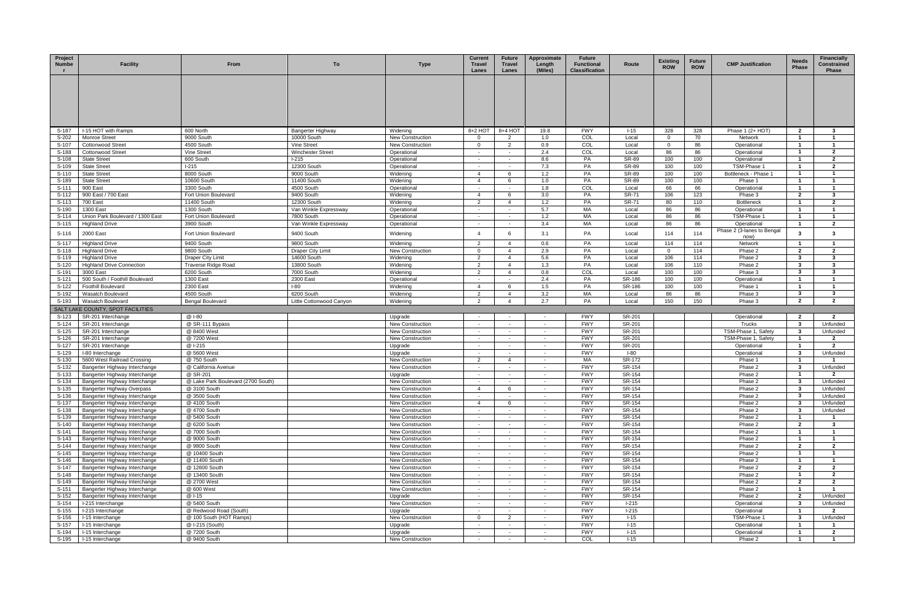| Project<br>Numbe | <b>Facility</b>                                                    | From                                               | To                                      | <b>Type</b>                                        | <b>Current</b><br>Travel<br>Lanes | <b>Future</b><br>Travel<br>Lanes | Approximate<br>Length<br>(Miles) | <b>Future</b><br><b>Functional</b><br><b>Classification</b> | Route                 | <b>Existing</b><br><b>ROW</b> | <b>Future</b><br><b>ROW</b> | <b>CMP Justification</b>                   | <b>Needs</b><br><b>Phase</b>     | <b>Financially</b><br>Constrained<br>Phase |
|------------------|--------------------------------------------------------------------|----------------------------------------------------|-----------------------------------------|----------------------------------------------------|-----------------------------------|----------------------------------|----------------------------------|-------------------------------------------------------------|-----------------------|-------------------------------|-----------------------------|--------------------------------------------|----------------------------------|--------------------------------------------|
|                  |                                                                    |                                                    |                                         |                                                    |                                   |                                  |                                  |                                                             |                       |                               |                             |                                            |                                  |                                            |
|                  |                                                                    |                                                    |                                         |                                                    |                                   |                                  |                                  |                                                             |                       |                               |                             |                                            |                                  |                                            |
|                  |                                                                    |                                                    |                                         |                                                    |                                   |                                  |                                  |                                                             |                       |                               |                             |                                            |                                  |                                            |
| S-187            | I-15 HOT with Ramps                                                | 600 North                                          | Bangerter Highway                       | Widening                                           | 8+2 HOT                           | 8+4 HOT                          | 19.8                             | <b>FWY</b>                                                  | $1 - 15$              | 328                           | 328                         | Phase 1 $(2+HOT)$                          | $\mathbf{2}$                     | $\mathbf{3}$                               |
| S-202            | <b>Monroe Street</b>                                               | 9000 South                                         | 10000 South                             | <b>New Construction</b>                            | $\mathbf{0}$                      | $\overline{2}$                   | 1.0                              | COL                                                         | Local                 | $\mathbf{0}$                  | 70                          | Network                                    | $\mathbf{1}$                     | $\overline{1}$                             |
| S-107<br>S-188   | <b>Cottonwood Street</b><br><b>Cottonwood Street</b>               | 4500 South<br>Vine Street                          | Vine Street<br><b>Winchester Street</b> | <b>New Construction</b><br>Operational             | $\overline{0}$                    | $\overline{2}$                   | 0.9<br>2.4                       | COL<br>COL                                                  | Local<br>Local        | $\overline{0}$<br>86          | 86<br>86                    | Operational<br>Operational                 | $\mathbf{1}$<br>-1               | $\overline{\mathbf{1}}$<br>$\overline{2}$  |
| S-108            | <b>State Street</b>                                                | 600 South                                          | $1-215$                                 | Operational                                        | $\sim$                            | $\sim$                           | 8.6                              | PA                                                          | <b>SR-89</b>          | 100                           | 100                         | Operational                                | $\overline{1}$                   | $\overline{2}$                             |
| S-109            | <b>State Street</b>                                                | $I-215$                                            | 12300 South                             | Operational                                        | $\sim$                            |                                  | 7.3                              | PA                                                          | <b>SR-89</b>          | 100                           | 100                         | TSM-Phase 1                                | $\overline{1}$                   | $\overline{2}$                             |
| S-110            | <b>State Street</b>                                                | 8000 South                                         | 9000 South                              | Widening                                           | $\overline{4}$                    | 6                                | 1.2                              | PA                                                          | <b>SR-89</b>          | 100                           | 100                         | Bottleneck - Phase 1                       | $\overline{1}$                   | $\overline{1}$                             |
| S-189<br>S-111   | <b>State Street</b><br>900 East                                    | 10600 South<br>3300 South                          | 11400 South<br>4500 South               | Widening<br>Operational                            | $\overline{4}$<br>$\sim$          | -6                               | 1.0<br>1.8                       | PA<br>COL                                                   | <b>SR-89</b><br>Local | 100<br>66                     | 100<br>66                   | Phase 1<br>Operational                     | $\mathbf{1}$<br>$\mathbf{1}$     | $\overline{1}$<br>$\overline{\mathbf{1}}$  |
| S-112            | 900 East / 700 East                                                | Fort Union Boulevard                               | 9400 South                              | Widening                                           | $\overline{4}$                    | -6                               | 3.0                              | PA                                                          | <b>SR-71</b>          | 106                           | 123                         | Phase 3                                    | $\mathbf{2}$                     | -3                                         |
| S-113            | 700 East                                                           | 11400 South                                        | 12300 South                             | Widening                                           | $\overline{2}$                    | $\overline{4}$                   | 1.2                              | PA                                                          | <b>SR-71</b>          | 80                            | 110                         | <b>Bottleneck</b>                          | $\mathbf{1}$                     | $\overline{2}$                             |
| S-190            | 1300 East                                                          | 1300 South                                         | Van Winkle Expressway                   | Operational                                        | $\sim$ $-$                        | $\sim$                           | 5.7                              | МA                                                          | Local                 | 86                            | 86                          | Operational                                | $\mathbf{1}$                     | $\overline{1}$                             |
| S-114            | Union Park Boulevard / 1300 East                                   | Fort Union Boulevard                               | 7800 South                              | Operational                                        | $\sim$                            |                                  | 1.2                              | МA                                                          | Local                 | 86                            | 86                          | TSM-Phase 1                                | $\mathbf{1}$                     | $\overline{1}$                             |
| S-115            | <b>Highland Drive</b>                                              | 3900 South                                         | Van Winkle Expressway                   | Operational                                        | $\sim$                            | $\sim$                           | 3.4                              | МA                                                          | Local                 | 86                            | 86                          | Operational                                | $\mathbf{1}$                     | $\overline{2}$                             |
| S-116            | 2000 East                                                          | Fort Union Boulevard                               | 9400 South                              | Widening                                           | $\overline{4}$                    |                                  | 3.1                              | PA                                                          | Local                 | 114                           | 114                         | Phase 2 (3-lanes to Bengal<br>now)         | 3                                | 3                                          |
| S-117            | <b>Highland Drive</b>                                              | 9400 South                                         | 9800 South                              | Widening                                           | 2                                 | $\overline{4}$                   | 0.6                              | PA                                                          | Local                 | 114                           | 114                         | Network                                    | $\overline{1}$                   |                                            |
| S-118            | <b>Highland Drive</b>                                              | 9800 South                                         | <b>Draper City Limit</b>                | <b>New Construction</b>                            | $\overline{0}$                    | $\overline{4}$                   | 2.9                              | PA                                                          | Local                 | $\Omega$                      | 114                         | Phase 2                                    | $\overline{2}$                   | $\overline{2}$                             |
| S-119            | <b>Highland Drive</b>                                              | Draper City Limit                                  | 14600 South                             | Widening                                           | 2                                 | $\overline{4}$<br>$\overline{4}$ | 5.6<br>1.3                       | PA                                                          | Local                 | 106                           | 114                         | Phase 2                                    | 3                                | $\mathbf{3}$                               |
| S-120<br>S-191   | <b>Highland Drive Connection</b><br>3000 East                      | Traverse Ridge Road<br>6200 South                  | 13800 South<br>7000 South               | Widening<br>Widening                               | 2<br>$\overline{2}$               | $\overline{4}$                   | 0.8                              | PA<br>COL                                                   | Local<br>Local        | 106<br>100                    | 110<br>100                  | Phase 2<br>Phase 3                         | $\mathbf{3}$<br>3                | $\mathbf{3}$<br>-3                         |
| S-121            | 500 South / Foothill Boulevard                                     | 1300 East                                          | 2300 East                               | Operational                                        | $\sim$                            |                                  | 2.4                              | PA                                                          | SR-186                | 100                           | 100                         | Operational                                |                                  |                                            |
| S-122            | <b>Foothill Boulevard</b>                                          | 2300 East                                          | $I-80$                                  | Widening                                           | $\overline{4}$                    | -6                               | 1.5                              | PA                                                          | SR-186                | 100                           | 100                         | Phase 1                                    | $\overline{1}$                   | $\overline{1}$                             |
| S-192            | Wasatch Boulevard                                                  | 4500 South                                         | 6200 South                              | Widening                                           | $\overline{2}$                    | $\overline{4}$                   | 3.2                              | МA                                                          | Local                 | 86                            | 86                          | Phase 3                                    | $\mathbf{3}$                     | $\mathbf{3}$                               |
|                  |                                                                    |                                                    |                                         |                                                    |                                   |                                  |                                  |                                                             |                       |                               |                             |                                            |                                  |                                            |
| S-193            | Wasatch Boulevard                                                  | <b>Bengal Boulevard</b>                            | Little Cottonwood Canyon                | Widening                                           | $\overline{2}$                    |                                  | 2.7                              | PA                                                          | Local                 | 150                           | 150                         | Phase 3                                    | $\overline{2}$                   | $\overline{2}$                             |
|                  | SALT LAKE COUNTY, SPOT FACILITIES                                  |                                                    |                                         |                                                    |                                   |                                  |                                  |                                                             |                       |                               |                             |                                            |                                  |                                            |
| S-123            | SR-201 Interchange                                                 | @ I-80                                             |                                         | Upgrade                                            |                                   |                                  |                                  | <b>FWY</b>                                                  | SR-201                |                               |                             | Operational                                | $\mathbf{2}$                     | $\overline{2}$                             |
| S-124            | SR-201 Interchange                                                 | @ SR-111 Bypass                                    |                                         | <b>New Construction</b>                            |                                   | $\sim$                           | $\sim$                           | <b>FWY</b>                                                  | SR-201                |                               |                             | Trucks                                     | $\mathbf{3}$                     | Unfunded                                   |
| $S-125$<br>S-126 | SR-201 Interchange<br>SR-201 Interchange                           | @ 8400 West<br>@7200 West                          |                                         | New Construction<br><b>New Construction</b>        | $\sim$<br>$\sim$                  |                                  | $\sim$<br>$\sim$                 | <b>FWY</b><br><b>FWY</b>                                    | SR-201<br>SR-201      |                               |                             | TSM-Phase 1, Safety<br>TSM-Phase 1, Safety | -3<br>$\overline{1}$             | Unfunded<br>$\mathbf{2}$                   |
| S-127            | SR-201 Interchange                                                 | @ I-215                                            |                                         | Upgrade                                            | $\sim$                            |                                  | $\sim$                           | <b>FWY</b>                                                  | SR-201                |                               |                             | Operational                                | $\overline{1}$                   | $\overline{2}$                             |
| S-129            | I-80 Interchange                                                   | @ 5600 West                                        |                                         | Upgrade                                            | $\sim$                            |                                  | $\sim$                           | <b>FWY</b>                                                  | $I-80$                |                               |                             | Operational                                | -3                               | Unfunded                                   |
| S-130            | 5600 West Railroad Crossing                                        | @ 750 South                                        |                                         | <b>New Construction</b>                            | 2                                 | $\overline{4}$                   | $\sim$                           | МA                                                          | SR-172                |                               |                             | Phase 1                                    | $\overline{1}$                   |                                            |
| S-132            | Bangerter Highway Interchange                                      | @ California Avenue                                |                                         | <b>New Construction</b>                            | $\sim$                            |                                  | $\sim$                           | <b>FWY</b>                                                  | SR-154                |                               |                             | Phase 2                                    | -3                               | Unfunded                                   |
| S-133            | Bangerter Highway Interchange                                      | @ SR-201                                           |                                         | Upgrade                                            | $\sim$                            |                                  | $\sim$<br>$\sim$                 | <b>FWY</b>                                                  | SR-154<br>SR-154      |                               |                             | Phase 2<br>Phase 2                         | -3                               | -2<br>Unfunded                             |
| S-134<br>S-135   | Bangerter Highway Interchange<br><b>Bangerter Highway Overpass</b> | @ Lake Park Boulevard (2700 South)<br>@ 3100 South |                                         | <b>New Construction</b><br><b>New Construction</b> | $\overline{4}$                    | -6                               |                                  | <b>FWY</b><br><b>FWY</b>                                    | SR-154                |                               |                             | Phase 2                                    | -3                               | Unfunded                                   |
| S-136            | Bangerter Highway Interchange                                      | @ 3500 South                                       |                                         | <b>New Construction</b>                            | $\sim$                            | $\sim$                           | $\sim$                           | <b>FWY</b>                                                  | SR-154                |                               |                             | Phase 2                                    | 3                                | Unfunded                                   |
| S-137            | Bangerter Highway Interchange                                      | @ 4100 South                                       |                                         | <b>New Construction</b>                            | $\overline{4}$                    |                                  |                                  | <b>FWY</b>                                                  | SR-154                |                               |                             | Phase 2                                    | -3                               | Unfunded                                   |
| S-138            | Bangerter Highway Interchange                                      | @ 4700 South                                       |                                         | New Construction                                   |                                   |                                  | $\sim$                           | <b>FWY</b>                                                  | SR-154                |                               |                             | Phase 2                                    | $\mathbf{3}$                     | Unfunded                                   |
| S-139            | Bangerter Highway Interchange                                      | @ 5400 South                                       |                                         | New Construction                                   | $\sim$<br>$\sim$                  | $\sim$                           | $\sim$<br>$\sim$                 | <b>FWY</b>                                                  | SR-154                |                               |                             | Phase 2                                    | $\overline{\mathbf{1}}$          |                                            |
| S-140<br>S-141   | Bangerter Highway Interchange                                      | @ 6200 South<br>@ 7000 South                       |                                         | <b>New Construction</b><br>New Construction        | $\sim$                            |                                  | $\sim$                           | <b>FWY</b><br><b>FWY</b>                                    | SR-154<br>SR-154      |                               |                             | Phase 2<br>Phase 2                         | $\overline{2}$<br>$\overline{1}$ | $\mathbf{3}$<br>$\overline{1}$             |
| S-143            | Bangerter Highway Interchange<br>Bangerter Highway Interchange     | @ 9000 South                                       |                                         | <b>New Construction</b>                            | $\sim$                            |                                  | $\sim$                           | <b>FWY</b>                                                  | SR-154                |                               |                             | Phase 2                                    | $\mathbf{1}$                     | -1                                         |
| S-144            | Bangerter Highway Interchange                                      | @ 9800 South                                       |                                         | <b>New Construction</b>                            |                                   |                                  | $\sim$                           | <b>FWY</b>                                                  | SR-154                |                               |                             | Phase 2                                    | $\overline{2}$                   | $\overline{2}$                             |
| S-145            | Bangerter Highway Interchange                                      | @ 10400 South                                      |                                         | New Construction                                   | $\sim$                            |                                  | $\sim$                           | <b>FWY</b>                                                  | SR-154                |                               |                             | Phase 2                                    | $\mathbf{1}$                     | $\overline{1}$                             |
| S-146            | Bangerter Highway Interchange                                      | @ 11400 South                                      |                                         | <b>New Construction</b>                            | $\sim$                            |                                  | $\sim$                           | <b>FWY</b>                                                  | SR-154                |                               |                             | Phase 2                                    | -1                               |                                            |
| S-147            | Bangerter Highway Interchange                                      | @ 12600 South                                      |                                         | New Construction                                   | $\sim$<br>$\sim$                  | $\sim$                           | $\sim$<br>$\sim$                 | <b>FWY</b>                                                  | SR-154                |                               |                             | Phase 2                                    | $\overline{2}$<br>$\mathbf{1}$   | $\overline{2}$                             |
| S-148<br>S-149   | Bangerter Highway Interchange<br>Bangerter Highway Interchange     | @ 13400 South<br>@ 2700 West                       |                                         | <b>New Construction</b><br><b>New Construction</b> | $\sim$                            | $\sim$                           | $\sim$                           | <b>FWY</b><br><b>FWY</b>                                    | SR-154<br>SR-154      |                               |                             | Phase 2<br>Phase 2                         | $\mathbf{2}$                     | $\overline{2}$<br>$\overline{2}$           |
| S-151            | Bangerter Highway Interchange                                      | @ 600 West                                         |                                         | New Construction                                   | $\sim$                            |                                  |                                  | <b>FWY</b>                                                  | SR-154                |                               |                             | Phase 2                                    | $\mathbf{1}$                     | $\overline{1}$                             |
| $S-152$          | Bangerter Highway Interchange                                      | @ I-15                                             |                                         | Upgrade                                            |                                   |                                  | $\sim$                           | <b>FWY</b>                                                  | SR-154                |                               |                             | Phase 2                                    | $\overline{2}$                   | Unfunded                                   |
| S-154            | I-215 Interchange                                                  | @ 5400 South                                       |                                         | New Construction                                   | $\sim$                            | $\sim$                           | $\sim$                           | <b>FWY</b>                                                  | $1-215$               |                               |                             | Operational                                | -3                               | Unfunded                                   |
| S-155            | I-215 Interchange                                                  | @ Redwood Road (South)                             |                                         | Upgrade                                            | $\sim$                            |                                  | $\sim$                           | <b>FWY</b>                                                  | $1-215$               |                               |                             | Operational                                | $\mathbf{1}$                     | $\overline{2}$                             |
| S-156            | I-15 Interchange                                                   | @ 100 South (HOT Ramps)                            |                                         | New Construction                                   | $\overline{0}$<br>$\sim$          | 2                                | $\sim$<br>$\sim$                 | <b>FWY</b>                                                  | $1 - 15$              |                               |                             | TSM-Phase 1                                | 3<br>-1                          | Unfunded                                   |
| S-157<br>S-194   | I-15 Interchange<br>I-15 Interchange                               | @ I-215 (South)<br>@ 7200 South                    |                                         | Upgrade<br>Upgrade                                 | $\sim$                            |                                  | $\sim$                           | <b>FWY</b><br><b>FWY</b>                                    | $I-15$<br>$I-15$      |                               |                             | Operational<br>Operational                 | $\mathbf{1}$                     | $\overline{2}$                             |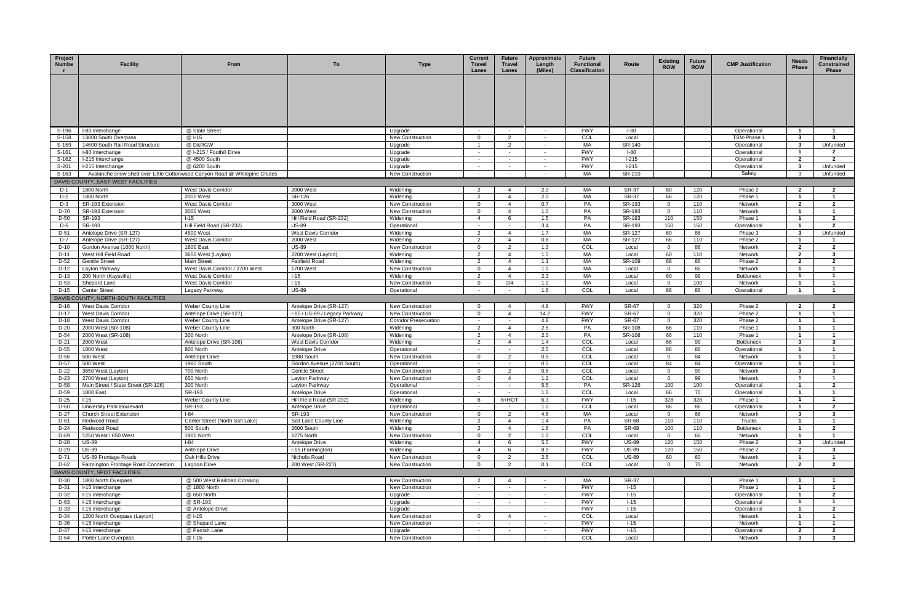| Project<br><b>Numbe</b> | <b>Facility</b>                                    | From                                                                      | To                                                  | <b>Type</b>                              | <b>Current</b><br>Travel<br>Lanes | <b>Future</b><br>Travel<br>Lanes           | Approximate<br>Length<br>(Miles) | <b>Future</b><br><b>Functional</b><br><b>Classification</b> | Route                        | <b>Existing</b><br><b>ROW</b> | <b>Future</b><br><b>ROW</b> | <b>CMP Justification</b>     | <b>Needs</b><br><b>Phase</b>   | <b>Financially</b><br>Constrained<br>Phase |
|-------------------------|----------------------------------------------------|---------------------------------------------------------------------------|-----------------------------------------------------|------------------------------------------|-----------------------------------|--------------------------------------------|----------------------------------|-------------------------------------------------------------|------------------------------|-------------------------------|-----------------------------|------------------------------|--------------------------------|--------------------------------------------|
|                         |                                                    |                                                                           |                                                     |                                          |                                   |                                            |                                  |                                                             |                              |                               |                             |                              |                                |                                            |
|                         |                                                    |                                                                           |                                                     |                                          |                                   |                                            |                                  |                                                             |                              |                               |                             |                              |                                |                                            |
|                         |                                                    |                                                                           |                                                     |                                          |                                   |                                            |                                  |                                                             |                              |                               |                             |                              |                                |                                            |
|                         |                                                    |                                                                           |                                                     |                                          |                                   |                                            |                                  |                                                             |                              |                               |                             |                              |                                |                                            |
| S-196                   | I-80 Interchange                                   | @ State Street                                                            |                                                     | Upgrade                                  | $\sim$                            | $\sim$                                     | $\sim$                           | <b>FWY</b>                                                  | $I-80$                       |                               |                             | Operational                  | $\overline{1}$                 | $\mathbf{1}$                               |
| S-158                   | 13800 South Overpass                               | @ I-15                                                                    |                                                     | <b>New Construction</b>                  | $\overline{0}$                    | $\overline{2}$                             | $\sim$                           | COL                                                         | Local                        |                               |                             | TSM-Phase 1                  | $\mathbf{3}$                   | $\mathbf{3}$                               |
| S-159                   | 14600 South Rail Road Structure                    | @ D&RGW                                                                   |                                                     | Upgrade                                  | $\overline{1}$                    | 2                                          | $\sim$<br>$\sim$                 | МA<br><b>FWY</b>                                            | SR-140<br>$I-80$             |                               |                             | Operational                  | 3<br>$\overline{\mathbf{1}}$   | Unfunded                                   |
| S-161<br>S-162          | I-80 Interchange<br>I-215 Interchange              | @ I-215 / Foothill Drive<br>@ 4500 South                                  |                                                     | Upgrade<br>Upgrade                       | $\sim$                            | $\sim$                                     | $\sim$                           | <b>FWY</b>                                                  | $1-215$                      |                               |                             | Operational<br>Operational   | $\mathbf{2}$                   | $\overline{2}$<br>$\overline{2}$           |
| S-201                   | I-215 Interchange                                  | @ 6200 South                                                              |                                                     | Upgrade                                  | $\sim$                            |                                            | $\sim$                           | <b>FWY</b>                                                  | $1-215$                      |                               |                             | Operational                  | 3                              | Unfunded                                   |
| S-163                   |                                                    | Avalanche snow shed over Little Cottonwood Canyon Road @ Whitepine Chutes |                                                     | <b>New Construction</b>                  |                                   |                                            | $\sim$                           | MA                                                          | SR-210                       |                               |                             | Safety                       | 3                              | Unfunded                                   |
|                         | DAVIS COUNTY, EAST-WEST FACILITIES                 |                                                                           |                                                     |                                          |                                   |                                            |                                  |                                                             |                              |                               |                             |                              |                                |                                            |
| D-1<br>$D-2$            | 1800 North<br>1800 North                           | West Davis Corridor<br>2000 West                                          | 2000 West<br>SR-126                                 | Widening<br>Widening                     | $\overline{2}$<br>2               | $\boldsymbol{\varDelta}$<br>$\overline{4}$ | 2.0<br>2.0                       | МA<br>MA                                                    | SR-37<br><b>SR-37</b>        | 80<br>66                      | 120<br>120                  | Phase 2<br>Phase 1           | $\mathbf{2}$<br>$\overline{1}$ | -2<br>$\overline{1}$                       |
| $D-3$                   | SR-193 Extension                                   | <b>West Davis Corridor</b>                                                | 3000 West                                           | New Construction                         | $\Omega$                          | $\overline{4}$                             | 0.7                              | PA                                                          | SR-193                       | $\Omega$                      | 110                         | Network                      | $\mathbf{2}$                   | $\overline{2}$                             |
| D-70                    | SR-193 Extension                                   | 3000 West                                                                 | 2000 West                                           | <b>New Construction</b>                  | $\Omega$                          | $\overline{4}$                             | 1.0                              | PA                                                          | SR-193                       | $\overline{0}$                | 110                         | Network                      | -1                             |                                            |
| $D-50$                  | SR-193                                             | $1 - 15$                                                                  | Hill Field Road (SR-232)                            | Widening                                 | $\overline{4}$                    | 6                                          | 1.5                              | PA                                                          | SR-193                       | 110                           | 150                         | Phase 1                      | $\overline{1}$                 | $\overline{2}$                             |
| D-6                     | SR-193                                             | Hill Field Road (SR-232)                                                  | <b>US-89</b>                                        | Operational                              | $\sim$                            |                                            | 3.4                              | PA                                                          | SR-193                       | 150                           | 150                         | Operational                  | -1                             | $\overline{2}$                             |
| D-51<br>$D-7$           | Antelope Drive (SR-127)<br>Antelope Drive (SR-127) | 4500 West<br>West Davis Corridor                                          | West Davis Corridor<br>2000 West                    | Widening<br>Widening                     | 2<br>2                            | $\overline{4}$<br>$\overline{4}$           | 1.7<br>0.8                       | МA<br>MA                                                    | SR-127<br>SR-127             | 60<br>66                      | 86<br>110                   | Phase 3<br>Phase 2           | 3<br>$\mathbf{1}$              | Unfunded                                   |
| $D-10$                  | Gordon Avenue (1000 North)                         | 1600 East                                                                 | <b>US-89</b>                                        | <b>New Construction</b>                  | $\overline{0}$                    | $\mathcal{P}$                              | 1.3                              | COL                                                         | Local                        | $\Omega$                      | 86                          | Network                      | $\overline{2}$                 | $\overline{2}$                             |
| $D-11$                  | West Hill Field Road                               | 3650 West (Layton)                                                        | 2200 West (Layton)                                  | Widening                                 | 2                                 | $\overline{4}$                             | 1.5                              | MA                                                          | Local                        | 60                            | 110                         | Network                      | $\mathbf{2}$                   | -3                                         |
| D-52                    | <b>Gentile Street</b>                              | <b>Main Street</b>                                                        | <b>Fairfield Road</b>                               | Widening                                 | $\overline{2}$                    | $\overline{4}$                             | 1.1                              | МA                                                          | SR-109                       | 68                            | 86                          | Phase 2                      | $\mathbf{2}$                   | $\overline{2}$                             |
| D-12                    | Layton Parkway                                     | West Davis Corridor / 2700 West                                           | 1700 West                                           | <b>New Construction</b>                  | $\overline{0}$                    | $\overline{4}$                             | 1.0                              | МA                                                          | Local                        | $\Omega$                      | 86                          | Network                      | $\mathbf{1}$                   | $\overline{1}$                             |
| D-13<br>D-53            | 200 North (Kaysville)<br>Shepard Lane              | West Davis Corridor<br>West Davis Corridor                                | $1 - 15$<br>$I-15$                                  | Widening<br><b>New Construction</b>      | 2<br>$\mathbf 0$                  | $\overline{4}$<br>2/4                      | 2.3<br>1.2                       | МA<br>MA                                                    | Local<br>Local               | 60<br>$\overline{0}$          | 99<br>100                   | <b>Bottleneck</b><br>Network | -1<br>$\overline{1}$           | $\overline{1}$                             |
| D-15                    | <b>Center Street</b>                               | Legacy Parkway                                                            | <b>US-89</b>                                        | Operational                              | $\sim$                            | $\sim$                                     | 1.6                              | COL                                                         | Local                        | 86                            | 86                          | Operational                  | $\overline{1}$                 |                                            |
|                         | DAVIS COUNTY, NORTH-SOUTH FACILITIES               |                                                                           |                                                     |                                          |                                   |                                            |                                  |                                                             |                              |                               |                             |                              |                                |                                            |
| D-16                    | West Davis Corridor                                | Weber County Line                                                         | Antelope Drive (SR-127)                             | <b>New Construction</b>                  | $\Omega$                          |                                            | 4.8                              | <b>FWY</b>                                                  | SR-67                        | $\overline{0}$                | 320                         | Phase 2                      | $\overline{2}$                 | -2                                         |
| $D-17$                  | West Davis Corridor                                | Antelope Drive (SR-127)                                                   | I-15 / US-89 / Legacy Parkway                       | <b>New Construction</b>                  | $\overline{0}$                    | $\overline{4}$                             | 14.2                             | <b>FWY</b>                                                  | <b>SR-67</b>                 | $\mathbf 0$                   | 320                         | Phase 2                      | $\overline{1}$                 | $\overline{1}$                             |
| $D-18$<br>$D-20$        | West Davis Corridor<br>2000 West (SR-108)          | Weber County Line                                                         | Antelope Drive (SR-127)<br>300 North                | <b>Corridor Preservation</b><br>Widening | $\sim$<br>$\overline{2}$          | $\sim$<br>$\overline{4}$                   | 4.8<br>2.5                       | <b>FWY</b><br>PA                                            | SR-67<br>SR-108              | $\overline{0}$<br>66          | 320<br>110                  | Phase 2<br>Phase 1           | -1<br>$\overline{1}$           | $\overline{1}$<br>$\overline{1}$           |
| D-54                    | 2000 West (SR-108)                                 | Weber County Line<br>300 North                                            | Antelope Drive (SR-108)                             | Widening                                 | $\overline{2}$                    | $\overline{4}$                             | 2.0                              | PA                                                          | SR-108                       | 66                            | 110                         | Phase 1                      | -1                             |                                            |
| $D-21$                  | 2000 West                                          | Antelope Drive (SR-108)                                                   | West Davis Corridor                                 | Widening                                 | 2                                 | $\overline{4}$                             | 1.4                              | COL                                                         | Local                        | 66                            | 99                          | <b>Bottleneck</b>            | 3                              | $\overline{\mathbf{3}}$                    |
| D-55                    | 1000 West                                          | 800 North                                                                 | Antelope Drive                                      | Operational                              | $\sim$                            | $\sim$                                     | 2.5                              | COL                                                         | Local                        | 86                            | 86                          | Operational                  | -1                             |                                            |
| D-56                    | 500 West                                           | Antelope Drive                                                            | 1980 South                                          | <b>New Construction</b>                  | $\overline{0}$                    | 2                                          | 0.5                              | COL                                                         | Local                        | $\overline{0}$                | 84                          | Network                      | $\mathbf{1}$                   | -1                                         |
| D-57<br>D-22            | 500 West<br>3650 West (Layton)                     | 1980 South<br>700 North                                                   | Gordon Avenue (2700 South)<br><b>Gentile Street</b> | Operational<br><b>New Construction</b>   | $\sim$<br>$\Omega$                | $\sim$<br>2                                | 0.5<br>0.8                       | COL<br>COL                                                  | Local<br>Local               | 84<br>$\Omega$                | 84<br>99                    | Operational<br>Network       | $\mathbf{1}$<br>3              | $\overline{1}$<br>-3                       |
| $D-23$                  | 2700 West (Layton)                                 | 650 North                                                                 | Layton Parkway                                      | <b>New Construction</b>                  | $\overline{0}$                    | $\overline{4}$                             | 1.2                              | COL                                                         | Local                        | $\Omega$                      | 99                          | Network                      | -1                             |                                            |
| D-58                    | Main Street / State Street (SR-126)                | 300 North                                                                 | Layton Parkway                                      | Operational                              | $\sim$                            |                                            | 5.5                              | PA                                                          | SR-126                       | 100                           | 100                         | Operational                  | $\mathbf{1}$                   | $\overline{2}$                             |
| D-59                    | 1000 East                                          | SR-193                                                                    | Antelope Drive                                      | Operational                              |                                   |                                            | 1.0                              | COL                                                         | Local                        | 66                            | 70                          | Operational                  |                                | $\overline{a}$                             |
| D-25                    | $I-15$<br>University Park Boulevard                | Weber County Line                                                         | Hill Field Road (SR-232)                            | Widening                                 | 6                                 | 6+HOT                                      | 6.3                              | <b>FWY</b>                                                  | $1 - 15$                     | 328                           | 328                         | Phase 1                      | $\overline{1}$<br>$\mathbf{1}$ |                                            |
| D-60<br>$D-27$          | <b>Church Street Extension</b>                     | SR-193<br>$I-84$                                                          | Antelope Drive<br>SR-193                            | Operational<br>New Construction          | $\overline{0}$                    | 2                                          | 1.0<br>4.6                       | COL<br>МA                                                   | Local<br>Local               | 86<br>$\Omega$                | 86<br>66                    | Operational<br>Network       | 3                              | $\overline{2}$<br>$\mathbf{3}$             |
| D-61                    | Redwood Road                                       | Center Street (North Salt Lake)                                           | Salt Lake County Line                               | Widening                                 | 2                                 | $\overline{4}$                             | 1.4                              | PA                                                          | <b>SR-68</b>                 | 110                           | 110                         | Trucks                       | $\mathbf{1}$                   |                                            |
| $D-24$                  | Redwood Road                                       | 500 South                                                                 | 2600 South                                          | Widening                                 | 2                                 | $\overline{4}$                             | 1.6                              | PA                                                          | <b>SR-68</b>                 | 100                           | 110                         | <b>Bottleneck</b>            | $\mathbf{1}$                   | $\overline{2}$                             |
| D-69                    | 1250 West / 650 West                               | 1900 North                                                                | 1275 North                                          | New Construction                         | $\Omega$                          | 2                                          | 1.0                              | COL                                                         | Local                        | $\overline{0}$                | 66                          | Network                      |                                |                                            |
| D-28<br>$D-29$          | <b>US-89</b><br><b>US-89</b>                       | $I-84$<br>Antelope Drive                                                  | Antelope Drive<br>I-15 (Farmington)                 | Widening<br>Widening                     | $\overline{4}$<br>$\overline{4}$  | 6                                          | 5.5<br>8.9                       | <b>FWY</b><br><b>FWY</b>                                    | <b>US-89</b><br><b>US-89</b> | 120<br>120                    | 150<br>150                  | Phase 2<br>Phase 2           | $\mathbf{3}$<br>$\overline{2}$ | Unfunded<br>$\mathbf{3}$                   |
| D-71                    | US-89 Frontage Roads                               | Oak Hills Drive                                                           | Nicholls Road                                       | New Construction                         | $\mathbf{0}$                      | 2                                          | 2.5                              | COL                                                         | <b>US-89</b>                 | 60                            | 60                          | Network                      | $\mathbf{1}$                   |                                            |
| D-62                    | Farmington Frontage Road Connection                | Lagoon Drive                                                              | 200 West (SR-227)                                   | <b>New Construction</b>                  | $\Omega$                          | $\mathcal{P}$                              | 0.1                              | COL                                                         | Local                        | $\Omega$                      | 70                          | Network                      | $\mathbf{2}$                   | $\overline{2}$                             |
|                         | DAVIS COUNTY, SPOT FACILITIES                      |                                                                           |                                                     |                                          |                                   |                                            |                                  |                                                             |                              |                               |                             |                              |                                |                                            |
| D-30                    | 1800 North Overpass                                | @ 500 West Railroad Crossing                                              |                                                     | <b>New Construction</b>                  | 2                                 |                                            |                                  | MA                                                          | <b>SR-37</b>                 |                               |                             | Phase 1                      |                                |                                            |
| D-31                    | I-15 Interchange                                   | @ 1800 North                                                              |                                                     | New Construction                         | $\sim$                            |                                            | $\sim$                           | <b>FWY</b>                                                  | $I-15$                       |                               |                             | Phase 1                      | $\overline{\mathbf{1}}$        |                                            |
| D-32<br>D-63            | I-15 Interchange<br>I-15 Interchange               | @ 650 North<br>@ SR-193                                                   |                                                     | Upgrade<br>Upgrade                       | $\sim$<br>$\sim$                  | $\sim$                                     | $\sim$<br>$\sim$                 | <b>FWY</b><br><b>FWY</b>                                    | $I-15$<br>$I-15$             |                               |                             | Operational<br>Operational   | $\overline{1}$<br>$\mathbf{1}$ | $\overline{2}$<br>$\overline{1}$           |
| D-33                    | I-15 Interchange                                   | @ Antelope Drive                                                          |                                                     | Upgrade                                  | $\sim$                            | $\sim$                                     | $\sim$                           | <b>FWY</b>                                                  | $1 - 15$                     |                               |                             | Operational                  | $\overline{1}$                 | $\overline{2}$                             |
| D-34                    | 1200 North Overpass (Layton)                       | @ I-15                                                                    |                                                     | New Construction                         | $\overline{0}$                    | $\overline{4}$                             | $\sim$                           | COL                                                         | Local                        |                               |                             | Network                      | $\overline{1}$                 | $\mathbf{1}$                               |
| D-36                    | I-15 Interchange                                   | @ Shepard Lane                                                            |                                                     | <b>New Construction</b>                  |                                   |                                            | $\sim$                           | <b>FWY</b>                                                  | $1 - 15$                     |                               |                             | Network                      | -1                             |                                            |
| $D-37$                  | I-15 Interchange                                   | @ Parrish Lane                                                            |                                                     | Upgrade                                  | $\sim$ 10 $\pm$                   | $\sim$                                     | $\sim$                           | <b>FWY</b>                                                  | $I-15$                       |                               |                             | Operational                  | $\overline{2}$                 | $\overline{2}$                             |
| D-64                    | Porter Lane Overpass                               | @ I-15                                                                    |                                                     | New Construction                         | $\sim$                            | $\sim$ $ \sim$                             | $\sim$ $-$                       | COL                                                         | Local                        |                               |                             | Network                      | $\mathbf{3}$                   | $\mathbf{3}$                               |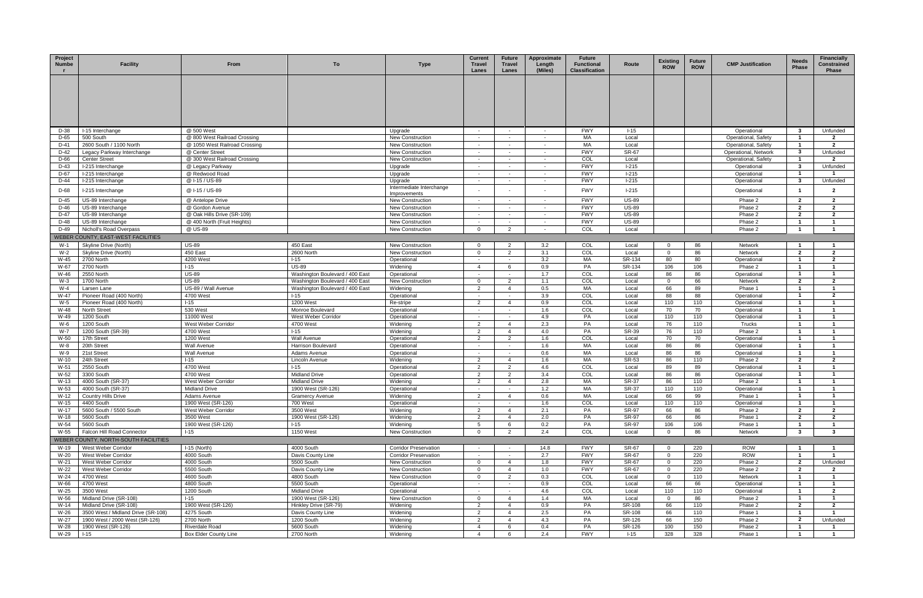| Project<br>Numbe | <b>Facility</b>                                                      | From                                             | To                                          | <b>Type</b>                                      | <b>Current</b><br><b>Travel</b><br>Lanes | <b>Future</b><br>Travel<br>Lanes | Approximate<br>Length<br>(Miles) | <b>Future</b><br><b>Functional</b><br><b>Classification</b> | Route                 | <b>Existing</b><br><b>ROW</b> | <b>Future</b><br><b>ROW</b> | <b>CMP Justification</b>                    | <b>Needs</b><br><b>Phase</b>   | <b>Financially</b><br>Constrained<br><b>Phase</b> |
|------------------|----------------------------------------------------------------------|--------------------------------------------------|---------------------------------------------|--------------------------------------------------|------------------------------------------|----------------------------------|----------------------------------|-------------------------------------------------------------|-----------------------|-------------------------------|-----------------------------|---------------------------------------------|--------------------------------|---------------------------------------------------|
|                  |                                                                      |                                                  |                                             |                                                  |                                          |                                  |                                  |                                                             |                       |                               |                             |                                             |                                |                                                   |
|                  |                                                                      |                                                  |                                             |                                                  |                                          |                                  |                                  |                                                             |                       |                               |                             |                                             |                                |                                                   |
|                  |                                                                      |                                                  |                                             |                                                  |                                          |                                  |                                  |                                                             |                       |                               |                             |                                             |                                |                                                   |
| D-38             | I-15 Interchange                                                     | @ 500 West                                       |                                             | Upgrade                                          | $\sim$                                   | $\sim$                           | $\sim$                           | <b>FWY</b>                                                  | $1 - 15$              |                               |                             | Operational                                 | $\mathbf{3}$                   | Unfunded                                          |
| D-65             | 500 South                                                            | @ 800 West Railroad Crossing                     |                                             | <b>New Construction</b>                          | $\sim$                                   | $\sim$                           | $\sim$                           | MA                                                          | Local                 |                               |                             | Operational, Safety                         | $\overline{1}$                 | $\overline{2}$                                    |
| D-41<br>D-42     | 2600 South / 1100 North<br>Legacy Parkway Interchange                | @ 1050 West Railroad Crossing<br>@ Center Street |                                             | <b>New Construction</b>                          | $\sim$<br>$\sim$                         |                                  | $\sim$<br>$\sim$                 | MA<br><b>FWY</b>                                            | Local<br><b>SR-67</b> |                               |                             | Operational, Safety<br>Operational, Network | $\mathbf{1}$<br>$\mathbf{3}$   | $\overline{2}$<br>Unfunded                        |
| D-66             | <b>Center Street</b>                                                 | @ 300 West Railroad Crossing                     |                                             | <b>New Construction</b><br>New Construction      | $\sim$                                   | $\sim$                           | $\sim$                           | COL                                                         | Local                 |                               |                             | Operational, Safety                         | -1                             | $\overline{2}$                                    |
| D-43             | I-215 Interchange                                                    | @ Legacy Parkway                                 |                                             | Upgrade                                          | $\sim$                                   | $\sim$                           | $\sim$                           | <b>FWY</b>                                                  | $1-215$               |                               |                             | Operational                                 | $\mathbf{3}$                   | Unfunded                                          |
| D-67             | I-215 Interchange                                                    | @ Redwood Road                                   |                                             | Upgrade                                          | $\sim$ $-$                               | $\sim$                           | $\sim$                           | <b>FWY</b>                                                  | $1-215$               |                               |                             | Operational                                 | $\overline{1}$                 | $\overline{1}$                                    |
| D-44             | I-215 Interchange                                                    | @ I-15 / US-89                                   |                                             | Upgrade                                          | $\sim$                                   |                                  | $\sim$                           | <b>FWY</b>                                                  | $1-215$               |                               |                             | Operational                                 | 3                              | Unfunded                                          |
| D-68             | I-215 Interchange                                                    | @ I-15 / US-89                                   |                                             | Intermediate Interchange<br>Improvements         |                                          |                                  |                                  | <b>FWY</b>                                                  | $1-215$               |                               |                             | Operational                                 |                                | $\mathbf{2}$                                      |
| D-45             | US-89 Interchange                                                    | @ Antelope Drive                                 |                                             | New Construction                                 | $\sim$                                   | $\sim$                           | $\sim$                           | <b>FWY</b>                                                  | <b>US-89</b>          |                               |                             | Phase 2                                     | $\overline{2}$                 | $\overline{2}$                                    |
| D-46             | US-89 Interchange                                                    | @ Gordon Avenue                                  |                                             | <b>New Construction</b>                          | $\sim$                                   |                                  | $\sim$                           | <b>FWY</b>                                                  | <b>US-89</b>          |                               |                             | Phase 2                                     | $\mathbf{2}$                   | $\overline{2}$                                    |
| D-47             | US-89 Interchange                                                    | @ Oak Hills Drive (SR-109)                       |                                             | <b>New Construction</b>                          | $\sim$                                   |                                  | <b>College</b>                   | <b>FWY</b>                                                  | <b>US-89</b>          |                               |                             | Phase 2                                     | $\mathbf{2}$                   | $\overline{2}$                                    |
| D-48<br>D-49     | US-89 Interchange                                                    | @ 400 North (Fruit Heights)<br>@ US-89           |                                             | <b>New Construction</b>                          | $\sim$<br>$\Omega$                       | 2                                | $\sim$                           | <b>FWY</b><br>COL                                           | <b>US-89</b><br>Local |                               |                             | Phase 2<br>Phase 2                          | $\overline{\mathbf{1}}$<br>-1  | $\mathbf{1}$                                      |
|                  | Nicholl's Road Overpass<br>WEBER COUNTY, EAST-WEST FACILITIES        |                                                  |                                             | <b>New Construction</b>                          |                                          |                                  |                                  |                                                             |                       |                               |                             |                                             |                                |                                                   |
| $W-1$            | Skyline Drive (North)                                                | <b>US-89</b>                                     | 450 East                                    | <b>New Construction</b>                          |                                          |                                  | 3.2                              | COL                                                         | Local                 | $\Omega$                      | 86                          | Network                                     |                                |                                                   |
| W-2              | Skyline Drive (North)                                                | 450 East                                         | 2600 North                                  | New Construction                                 | $\overline{0}$                           | 2                                | 3.1                              | COL                                                         | Local                 | $\overline{0}$                | 86                          | Network                                     | $\mathbf{2}$                   | $\overline{2}$                                    |
| W-45             | 2700 North                                                           | 4200 West                                        | $1 - 15$                                    | Operational                                      | $\sim$                                   | $\sim$                           | 3.2                              | MA                                                          | SR-134                | 80                            | 80                          | Operational                                 | $\overline{1}$                 | $\overline{2}$                                    |
| W-67             | 2700 North                                                           | $1 - 15$                                         | <b>US-89</b>                                | Widening                                         | $\overline{4}$                           | -6                               | 0.9                              | PA                                                          | SR-134                | 106                           | 106                         | Phase 2                                     | -1                             | $\mathbf{1}$                                      |
| W-46             | 2550 North                                                           | <b>US-89</b>                                     | Washington Boulevard / 400 East             | Operational                                      | $\sim$                                   | $\sim$                           | 1.7                              | COL                                                         | Local                 | 86                            | 86                          | Operational                                 | $\overline{1}$                 | $\overline{1}$                                    |
| $W-3$            | 1700 North                                                           | <b>US-89</b>                                     | Washington Boulevard / 400 East             | <b>New Construction</b>                          | $\overline{0}$                           | 2                                | 1.1                              | COL                                                         | Local                 | $\mathbf 0$                   | 66                          | Network                                     | $\mathbf{2}$                   | $\overline{2}$                                    |
| $W-4$<br>W-47    | Larsen Lane<br>Pioneer Road (400 North)                              | US-89 / Wall Avenue<br>4700 West                 | Washington Boulevard / 400 East<br>$1 - 15$ | Widening<br>Operational                          | $\overline{2}$<br>$\sim$                 | $\sim$                           | 0.5<br>3.9                       | MA<br>COL                                                   | Local<br>Local        | 66<br>88                      | 89<br>88                    | Phase '<br>Operational                      | -1                             | $\overline{2}$                                    |
| W-5              | Pioneer Road (400 North)                                             | $1 - 15$                                         | 1200 West                                   | Re-stripe                                        | 2                                        | $\overline{4}$                   | 0.9                              | COL                                                         | Local                 | 110                           | 110                         | Operational                                 | $\mathbf{1}$                   | $\overline{1}$                                    |
| W-48             | <b>North Street</b>                                                  | 530 West                                         | Monroe Boulevard                            | Operational                                      | $\sim$                                   | $\sim$                           | 1.6                              | COL                                                         | Local                 | 70                            | 70                          | Operational                                 | -1                             | $\overline{1}$                                    |
| W-49             | 1200 South                                                           | 11000 West                                       | West Weber Corridor                         | Operational                                      | $\sim$                                   |                                  | 4.9                              | PA                                                          | Local                 | 110                           | 110                         | Operational                                 | $\mathbf{1}$                   | $\mathbf{1}$                                      |
| W-6              | 1200 South                                                           | West Weber Corridor                              | 4700 West                                   | Widening                                         | 2                                        | $\overline{4}$                   | 2.3                              | PA                                                          | Local                 | 76                            | 110                         | Trucks                                      | $\overline{1}$                 | $\overline{\mathbf{1}}$                           |
| $W-7$            | 1200 South (SR-39)                                                   | 4700 West                                        | $I-15$                                      | Widening                                         | 2                                        |                                  | 4.0                              | PA                                                          | SR-39                 | 76                            | 110                         | Phase 2                                     |                                |                                                   |
| W-50             | 17th Street                                                          | 1200 West                                        | Wall Avenue                                 | Operational                                      | $\overline{2}$                           | 2                                | 1.6                              | COL                                                         | Local                 | 70                            | 70                          | Operational                                 | -1                             |                                                   |
| W-8<br>W-9       | 20th Street<br>21st Street                                           | <b>Wall Avenue</b><br><b>Wall Avenue</b>         | Harrison Boulevard<br>Adams Avenue          | Operational<br>Operational                       | $\sim$<br>$\sim$                         | $\sim$                           | 1.6<br>0.6                       | MA<br>МA                                                    | Local<br>Local        | 86<br>86                      | 86<br>86                    | Operational<br>Operational                  | $\overline{1}$<br>-1           | $\overline{1}$<br>-1                              |
| W-10             | 24th Street                                                          | $1 - 15$                                         | Lincoln Avenue                              | Widening                                         | 2                                        | $\overline{4}$                   | 1.6                              | MA                                                          | SR-53                 | 86                            | 110                         | Phase 2                                     | $\mathbf{2}$                   | $\overline{2}$                                    |
| W-51             | 2550 South                                                           | 4700 West                                        | $1 - 15$                                    | Operational                                      | $\overline{2}$                           | 2                                | 4.6                              | COL                                                         | Local                 | 89                            | 89                          | Operational                                 | $\mathbf{1}$                   | $\mathbf{1}$                                      |
| W-52             | 3300 South                                                           | 4700 West                                        | <b>Midland Drive</b>                        | Operational                                      | 2                                        | $\mathcal{P}$                    | 3.4                              | COL                                                         | Local                 | 86                            | 86                          | Operational                                 |                                |                                                   |
| W-13             | 4000 South (SR-37)                                                   | West Weber Corridor                              | Midland Drive                               | Widening                                         | $\overline{2}$                           |                                  | 2.8                              | MA                                                          | SR-37                 | 86                            | 110                         | Phase 2                                     |                                |                                                   |
| W-53             | 4000 South (SR-37)                                                   | <b>Midland Drive</b>                             | 1900 West (SR-126)                          | Operational                                      | $\sim$                                   |                                  | 1.2                              | <b>MA</b>                                                   | SR-37                 | 110                           | 110                         | Operational                                 | $\overline{1}$                 | $\mathbf{1}$                                      |
| W-12<br>W-15     | <b>Country Hills Drive</b><br>4400 South                             | Adams Avenue<br>1900 West (SR-126)               | <b>Gramercy Avenue</b><br>700 West          | Widening<br>Operational                          | $\overline{2}$<br>$\sim$                 | 4                                | 0.6<br>1.6                       | МA<br>COL                                                   | Local<br>Local        | 66<br>110                     | 99<br>110                   | Phase 1<br>Operational                      | $\mathbf{1}$<br>$\mathbf{1}$   | $\mathbf{1}$<br>$\mathbf{1}$                      |
| W-17             | 5600 South / 5500 South                                              | West Weber Corridor                              | 3500 West                                   | Widening                                         | 2                                        | $\overline{4}$                   | 2.1                              | PA                                                          | SR-97                 | 66                            | 86                          | Phase 2                                     | $\mathbf{2}$                   | $\overline{2}$                                    |
| W-18             | 5600 South                                                           | 3500 West                                        | 1900 West (SR-126)                          | Widening                                         | $\overline{2}$                           |                                  | 2.0                              | PA                                                          | SR-97                 | 66                            | 86                          | Phase 1                                     | $\mathbf{2}$                   | $\mathbf{2}$                                      |
| W-54             | 5600 South                                                           | 1900 West (SR-126)                               | $1 - 15$                                    | Widening                                         | 5                                        |                                  | 0.2                              | PA                                                          | SR-97                 | 106                           | 106                         | Phase 1                                     | -1                             |                                                   |
| W-55             | Falcon Hill Road Connector                                           | $1 - 15$                                         | 1150 West                                   | <b>New Construction</b>                          | $\overline{0}$                           | 2                                | 2.4                              | COL                                                         | Local                 | $\mathbf 0$                   | 86                          | Network                                     | $\mathbf{3}$                   | $\mathbf{3}$                                      |
|                  | WEBER COUNTY, NORTH-SOUTH FACILITIES                                 |                                                  |                                             |                                                  |                                          |                                  |                                  |                                                             |                       |                               |                             |                                             |                                |                                                   |
| W-19             | West Weber Corridor                                                  | $I-15$ (North)                                   | 4000 South                                  | <b>Corridor Preservation</b>                     |                                          |                                  | 14.8                             | <b>FWY</b>                                                  | SR-67                 | $\overline{0}$                | 220                         | <b>ROW</b>                                  | $\overline{1}$                 |                                                   |
| W-20<br>W-21     | West Weber Corridor<br>West Weber Corridor                           | 4000 South<br>4000 South                         | Davis County Line<br>5500 South             | <b>Corridor Preservation</b><br>New Construction | $\sim$<br>$\overline{0}$                 | $\overline{4}$                   | 2.7<br>1.8                       | <b>FWY</b><br><b>FWY</b>                                    | SR-67<br><b>SR-67</b> | $\mathbf 0$<br>$\overline{0}$ | 220<br>220                  | <b>ROW</b><br>Phase 2                       | $\overline{1}$<br>$\mathbf{2}$ | $\blacksquare$<br>Unfunded                        |
| W-22             | West Weber Corridor                                                  | 5500 South                                       | Davis County Line                           | New Construction                                 | $\Omega$                                 | $\overline{4}$                   | 1.0                              | <b>FWY</b>                                                  | SR-67                 | $\Omega$                      | 220                         | Phase 2                                     | $\overline{2}$                 | $\overline{2}$                                    |
| W-24             | 4700 West                                                            | 4600 South                                       | 4800 South                                  | New Construction                                 | $\mathbf 0$                              | 2                                | 0.3                              | COL                                                         | Local                 | $\overline{0}$                | 110                         | Network                                     | $\overline{1}$                 | $\mathbf{1}$                                      |
| W-66             | 4700 West                                                            | 4800 South                                       | 5500 South                                  | Operational                                      | $\sim$                                   | $\sim$                           | 0.9                              | COL                                                         | Local                 | 66                            | 66                          | Operational                                 | $\overline{1}$                 |                                                   |
| W-25             | 3500 West                                                            | 1200 South                                       | <b>Midland Drive</b>                        | Operational                                      | $\sim$                                   | $\sim$                           | 4.6                              | COL                                                         | Local                 | 110                           | 110                         | Operational                                 | $\overline{1}$                 | $\overline{2}$                                    |
| W-56             | Midland Drive (SR-108)                                               | $1 - 15$                                         | 1900 West (SR-126)                          | New Construction                                 | $\overline{0}$                           | 4                                | 1.4                              | МA                                                          | Local                 | $\overline{0}$                | 86                          | Phase 2                                     | $\overline{1}$                 | $\overline{1}$                                    |
| W-14             | Midland Drive (SR-108)                                               | 1900 West (SR-126)                               | Hinkley Drive (SR-79)                       | Widening                                         | $\overline{2}$<br>2                      | $\overline{4}$<br>$\overline{4}$ | 0.9<br>2.5                       | PA<br>PA                                                    | SR-108<br>SR-108      | 66                            | 110                         | Phase 2                                     | $\mathbf{2}$<br>$\mathbf{1}$   | $\overline{2}$                                    |
| W-26<br>W-27     | 3500 West / Midland Drive (SR-108)<br>1900 West / 2000 West (SR-126) | 4275 South<br>2700 North                         | Davis County Line<br>1200 South             | Widening<br>Widening                             | $\overline{2}$                           | -4                               | 4.3                              | PA                                                          | SR-126                | 66<br>66                      | 110<br>150                  | Phase 1<br>Phase 2                          | $\mathbf{2}$                   | Unfunded                                          |
| W-28             | 1900 West (SR-126)                                                   | Riverdale Road                                   | 5600 South                                  | Widening                                         | $\overline{4}$                           | -6                               | 0.4                              | PA                                                          | SR-126                | 100                           | 150                         | Phase 2                                     | $\overline{1}$                 |                                                   |
| W-29             | $1 - 15$                                                             | <b>Box Elder County Line</b>                     | 2700 North                                  | Widening                                         | $\overline{4}$                           | -6                               | 2.4                              | <b>FWY</b>                                                  | $1 - 15$              | 328                           | 328                         | Phase 1                                     | $\overline{1}$                 | $\overline{1}$                                    |